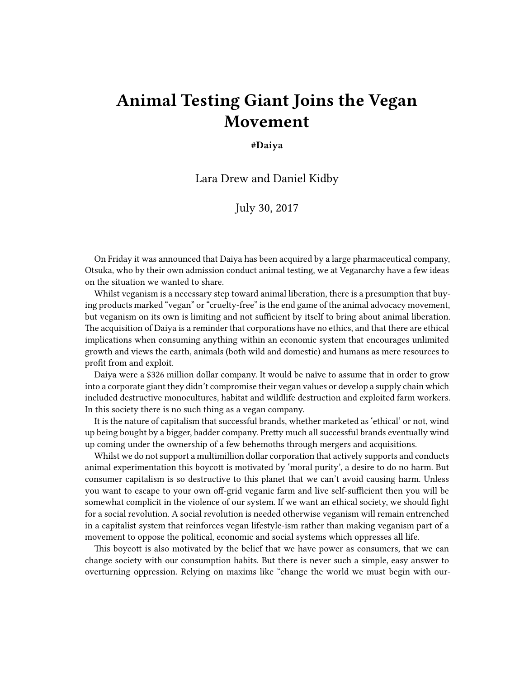## **Animal Testing Giant Joins the Vegan Movement**

## **#Daiya**

Lara Drew and Daniel Kidby

July 30, 2017

On Friday it was announced that Daiya has been acquired by a large pharmaceutical company, Otsuka, who by their own admission conduct animal testing, we at Veganarchy have a few ideas on the situation we wanted to share.

Whilst veganism is a necessary step toward animal liberation, there is a presumption that buying products marked "vegan" or "cruelty-free" is the end game of the animal advocacy movement, but veganism on its own is limiting and not sufficient by itself to bring about animal liberation. The acquisition of Daiya is a reminder that corporations have no ethics, and that there are ethical implications when consuming anything within an economic system that encourages unlimited growth and views the earth, animals (both wild and domestic) and humans as mere resources to profit from and exploit.

Daiya were a \$326 million dollar company. It would be naïve to assume that in order to grow into a corporate giant they didn't compromise their vegan values or develop a supply chain which included destructive monocultures, habitat and wildlife destruction and exploited farm workers. In this society there is no such thing as a vegan company.

It is the nature of capitalism that successful brands, whether marketed as 'ethical' or not, wind up being bought by a bigger, badder company. Pretty much all successful brands eventually wind up coming under the ownership of a few behemoths through mergers and acquisitions.

Whilst we do not support a multimillion dollar corporation that actively supports and conducts animal experimentation this boycott is motivated by 'moral purity', a desire to do no harm. But consumer capitalism is so destructive to this planet that we can't avoid causing harm. Unless you want to escape to your own off-grid veganic farm and live self-sufficient then you will be somewhat complicit in the violence of our system. If we want an ethical society, we should fight for a social revolution. A social revolution is needed otherwise veganism will remain entrenched in a capitalist system that reinforces vegan lifestyle-ism rather than making veganism part of a movement to oppose the political, economic and social systems which oppresses all life.

This boycott is also motivated by the belief that we have power as consumers, that we can change society with our consumption habits. But there is never such a simple, easy answer to overturning oppression. Relying on maxims like "change the world we must begin with our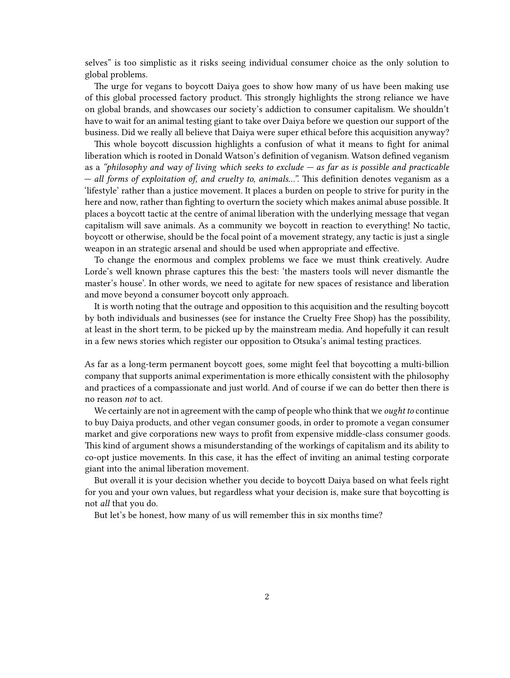selves" is too simplistic as it risks seeing individual consumer choice as the only solution to global problems.

The urge for vegans to boycott Daiya goes to show how many of us have been making use of this global processed factory product. This strongly highlights the strong reliance we have on global brands, and showcases our society's addiction to consumer capitalism. We shouldn't have to wait for an animal testing giant to take over Daiya before we question our support of the business. Did we really all believe that Daiya were super ethical before this acquisition anyway?

This whole boycott discussion highlights a confusion of what it means to fight for animal liberation which is rooted in Donald Watson's definition of veganism. Watson defined veganism as a *"philosophy and way of living which seeks to exclude — as far as is possible and practicable — all forms of exploitation of, and cruelty to, animals…".* This definition denotes veganism as a 'lifestyle' rather than a justice movement. It places a burden on people to strive for purity in the here and now, rather than fighting to overturn the society which makes animal abuse possible. It places a boycott tactic at the centre of animal liberation with the underlying message that vegan capitalism will save animals. As a community we boycott in reaction to everything! No tactic, boycott or otherwise, should be the focal point of a movement strategy, any tactic is just a single weapon in an strategic arsenal and should be used when appropriate and effective.

To change the enormous and complex problems we face we must think creatively. Audre Lorde's well known phrase captures this the best: 'the masters tools will never dismantle the master's house'. In other words, we need to agitate for new spaces of resistance and liberation and move beyond a consumer boycott only approach.

It is worth noting that the outrage and opposition to this acquisition and the resulting boycott by both individuals and businesses (see for instance the Cruelty Free Shop) has the possibility, at least in the short term, to be picked up by the mainstream media. And hopefully it can result in a few news stories which register our opposition to Otsuka's animal testing practices.

As far as a long-term permanent boycott goes, some might feel that boycotting a multi-billion company that supports animal experimentation is more ethically consistent with the philosophy and practices of a compassionate and just world. And of course if we can do better then there is no reason *not* to act.

We certainly are not in agreement with the camp of people who think that we *ought to* continue to buy Daiya products, and other vegan consumer goods, in order to promote a vegan consumer market and give corporations new ways to profit from expensive middle-class consumer goods. This kind of argument shows a misunderstanding of the workings of capitalism and its ability to co-opt justice movements. In this case, it has the effect of inviting an animal testing corporate giant into the animal liberation movement.

But overall it is your decision whether you decide to boycott Daiya based on what feels right for you and your own values, but regardless what your decision is, make sure that boycotting is not *all* that you do.

But let's be honest, how many of us will remember this in six months time?